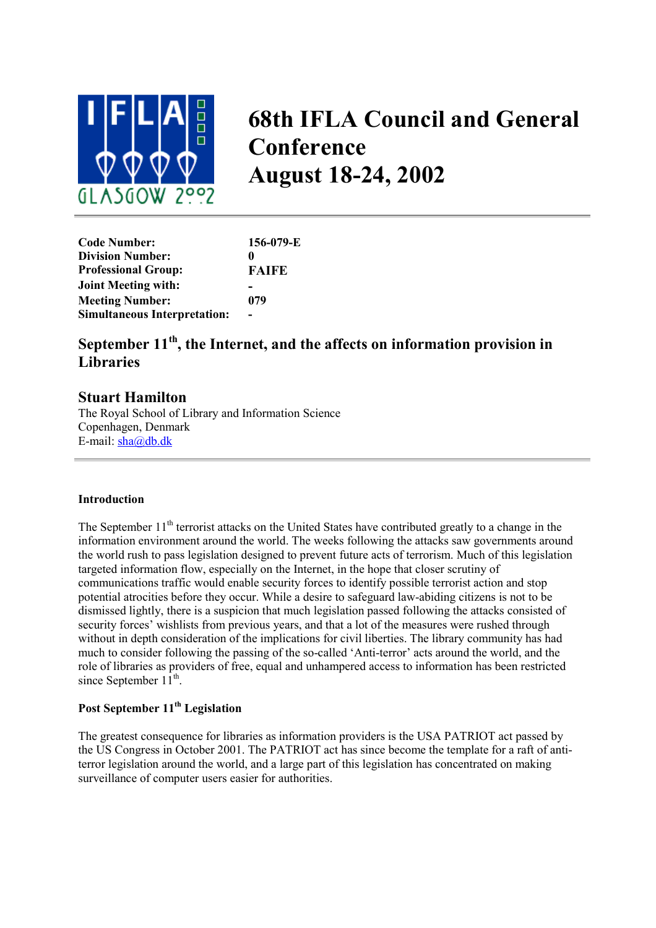

# **68th IFLA Council and General Conference August 18-24, 2002**

| <b>Code Number:</b>                 | 156-079-E    |
|-------------------------------------|--------------|
| <b>Division Number:</b>             | 0            |
| <b>Professional Group:</b>          | <b>FAIFE</b> |
| <b>Joint Meeting with:</b>          |              |
| <b>Meeting Number:</b>              | 079          |
| <b>Simultaneous Interpretation:</b> |              |

## **September 11th, the Internet, and the affects on information provision in Libraries**

### **Stuart Hamilton**

The Royal School of Library and Information Science Copenhagen, Denmark E-mail: [sha@db.dk](mailto:sha@db.dk)

#### **Introduction**

The September 11<sup>th</sup> terrorist attacks on the United States have contributed greatly to a change in the information environment around the world. The weeks following the attacks saw governments around the world rush to pass legislation designed to prevent future acts of terrorism. Much of this legislation targeted information flow, especially on the Internet, in the hope that closer scrutiny of communications traffic would enable security forces to identify possible terrorist action and stop potential atrocities before they occur. While a desire to safeguard law-abiding citizens is not to be dismissed lightly, there is a suspicion that much legislation passed following the attacks consisted of security forces' wishlists from previous years, and that a lot of the measures were rushed through without in depth consideration of the implications for civil liberties. The library community has had much to consider following the passing of the so-called 'Anti-terror' acts around the world, and the role of libraries as providers of free, equal and unhampered access to information has been restricted since September  $11^{th}$ .

#### **Post September 11th Legislation**

The greatest consequence for libraries as information providers is the USA PATRIOT act passed by the US Congress in October 2001. The PATRIOT act has since become the template for a raft of antiterror legislation around the world, and a large part of this legislation has concentrated on making surveillance of computer users easier for authorities.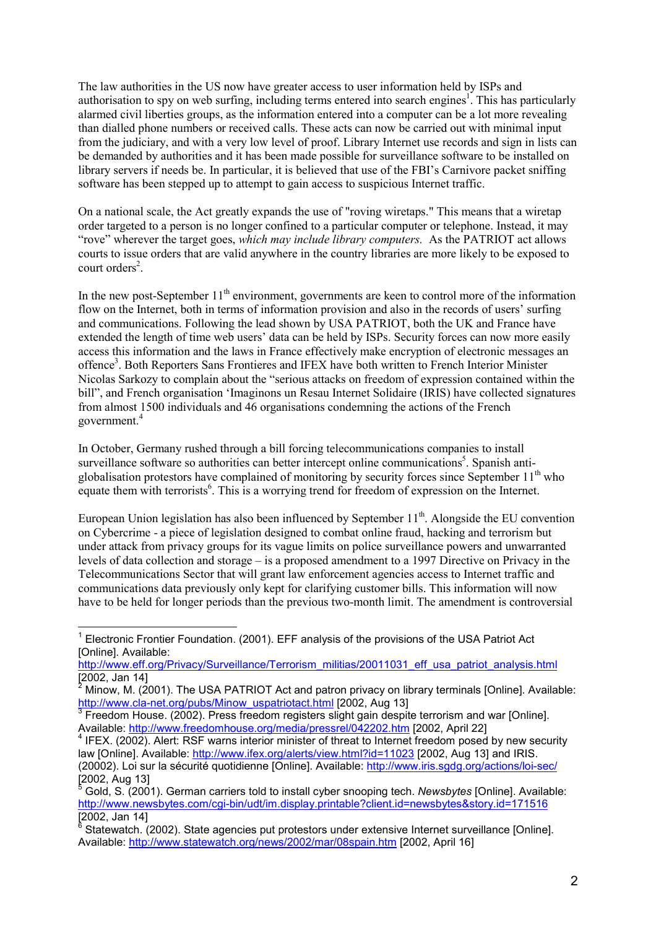The law authorities in the US now have greater access to user information held by ISPs and authorisation to spy on web surfing, including terms entered into search engines<sup>[1](#page-1-0)</sup>. This has particularly alarmed civil liberties groups, as the information entered into a computer can be a lot more revealing than dialled phone numbers or received calls. These acts can now be carried out with minimal input from the judiciary, and with a very low level of proof. Library Internet use records and sign in lists can be demanded by authorities and it has been made possible for surveillance software to be installed on library servers if needs be. In particular, it is believed that use of the FBI's Carnivore packet sniffing software has been stepped up to attempt to gain access to suspicious Internet traffic.

On a national scale, the Act greatly expands the use of "roving wiretaps." This means that a wiretap order targeted to a person is no longer confined to a particular computer or telephone. Instead, it may "rove" wherever the target goes, *which may include library computers.* As the PATRIOT act allows courts to issue orders that are valid anywhere in the country libraries are more likely to be exposed to court orders<sup>[2](#page-1-1)</sup>.

In the new post-September  $11<sup>th</sup>$  environment, governments are keen to control more of the information flow on the Internet, both in terms of information provision and also in the records of users' surfing and communications. Following the lead shown by USA PATRIOT, both the UK and France have extended the length of time web users' data can be held by ISPs. Security forces can now more easily access this information and the laws in France effectively make encryption of electronic messages an offence<sup>3</sup>. Both Reporters Sans Frontieres and IFEX have both written to French Interior Minister Nicolas Sarkozy to complain about the "serious attacks on freedom of expression contained within the bill", and French organisation 'Imaginons un Resau Internet Solidaire (IRIS) have collected signatures from almost 1500 individuals and 46 organisations condemning the actions of the French government[.4](#page-1-3)

In October, Germany rushed through a bill forcing telecommunications companies to install surveillance software so authorities can better intercept online communications<sup>5</sup>. Spanish antiglobalisation protestors have complained of monitoring by security forces since September  $11<sup>th</sup>$  who equate them with terrorists<sup>[6](#page-1-5)</sup>. This is a worrying trend for freedom of expression on the Internet.

European Union legislation has also been influenced by September  $11<sup>th</sup>$ . Alongside the EU convention on Cybercrime - a piece of legislation designed to combat online fraud, hacking and terrorism but under attack from privacy groups for its vague limits on police surveillance powers and unwarranted levels of data collection and storage – is a proposed amendment to a 1997 Directive on Privacy in the Telecommunications Sector that will grant law enforcement agencies access to Internet traffic and communications data previously only kept for clarifying customer bills. This information will now have to be held for longer periods than the previous two-month limit. The amendment is controversial

<span id="page-1-0"></span>l  $<sup>1</sup>$  Electronic Frontier Foundation. (2001). EFF analysis of the provisions of the USA Patriot Act</sup> [Online]. Available:

http://www.eff.org/Privacy/Surveillance/Terrorism\_militias/20011031\_eff\_usa\_patriot\_analysis.html [2002, Jan 14]

<span id="page-1-1"></span> $^2$  Minow, M. (2001). The USA PATRIOT Act and patron privacy on library terminals [Online]. Available: http://www.cla-net.org/pubs/Minow\_uspatriotact.html [2002, Aug 13]<br><sup>3</sup> Freedom House. (2002). Press freedom registers slight gain despite terrorism and war [Online].

<span id="page-1-2"></span>Available: http://www.freedomhouse.org/media/pressrel/042202.htm [2002, April 22]<br><sup>4</sup> IFEX. (2002). Alert: RSF warns interior minister of threat to Internet freedom posed by new security

<span id="page-1-3"></span>law [Online]. Available: http://www.ifex.org/alerts/view.html?id=11023 [2002, Aug 13] and IRIS. (20002). Loi sur la sécurité quotidienne [Online]. Available: http://www.iris.sgdg.org/actions/loi-sec/  $[2002, Aug 13]$ 

<span id="page-1-4"></span><sup>5</sup> Gold, S. (2001). German carriers told to install cyber snooping tech. *Newsbytes* [Online]. Available: http://www.newsbytes.com/cgi-bin/udt/im.display.printable?client.id=newsbytes&story.id=171516  $\frac{10002}{2002}$ , Jan 14

<span id="page-1-5"></span><sup>6</sup> Statewatch. (2002). State agencies put protestors under extensive Internet surveillance [Online]. Available: http://www.statewatch.org/news/2002/mar/08spain.htm [2002, April 16]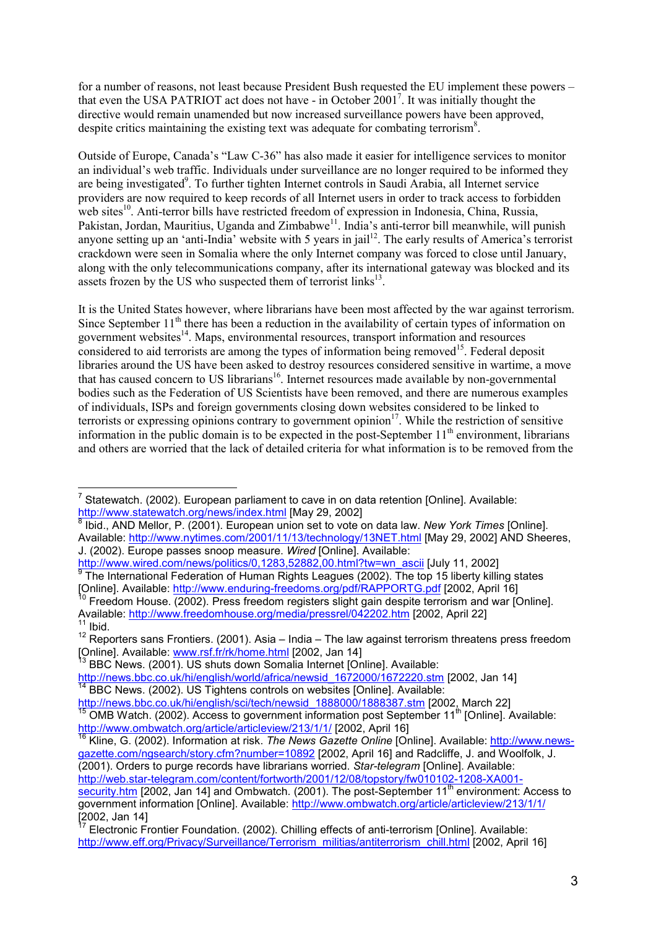for a number of reasons, not least because President Bush requested the EU implement these powers – that even the USA PATRIOT act does not have - in October 2001<sup>[7](#page-2-0)</sup>. It was initially thought the directive would remain unamended but now increased surveillance powers have been approved, despite critics maintaining the existing text was adequate for combating terrorism<sup>[8](#page-2-1)</sup>.

Outside of Europe, Canada's "Law C-36" has also made it easier for intelligence services to monitor an individual's web traffic. Individuals under surveillance are no longer required to be informed they are being investigated<sup>9</sup>[.](#page-2-2) To further tighten Internet controls in Saudi Arabia, all Internet service providers are now required to keep records of all Internet users in order to track access to forbidden web sites<sup>10</sup>. Anti-terror bills have restricted freedom of expression in Indonesia, China, Russia, Pakistan, Jordan, Mauritius, Uganda and Zimbabwe<sup>11</sup>. India's anti-terror bill meanwhile, will punish anyone setting up an 'anti-India' website with 5 years in jail<sup>12</sup>. The early results of America's terrorist crackdown were seen in Somalia where the only Internet company was forced to close until January, along with the only telecommunications company, after its international gateway was blocked and its assets frozen by the US who suspected them of terrorist links<sup>13</sup>.

It is the United States however, where librarians have been most affected by the war against terrorism. Since September  $11<sup>th</sup>$  there has been a reduction in the availability of certain types of information on government websites<sup>14</sup>. Maps, environmental resources, transport information and resources considered to aid terrorists are among the types of information being removed<sup>15</sup>. Federal deposit libraries around the US have been asked to destroy resources considered sensitive in wartime, a move that has caused concern to US librarians<sup>16</sup>. Internet resources made available by non-governmental bodies such as the Federation of US Scientists have been removed, and there are numerous examples of individuals, ISPs and foreign governments closing down websites considered to be linked to terrorists or expressing opinions contrary to government opinion<sup>17</sup>. While the restriction of sensitive information in the public domain is to be expected in the post-September  $11<sup>th</sup>$  environment, librarians and others are worried that the lack of detailed criteria for what information is to be removed from the

<span id="page-2-0"></span>l <sup>7</sup> Statewatch. (2002). European parliament to cave in on data retention [Online]. Available: http://www.statewatch.org/news/index.html [May 29, 2002] <sup>8</sup> Ibid., AND Mellor, P. (2001). European union set to vote on data law. *New York Times* [Online].

<span id="page-2-1"></span>Available: http://www.nytimes.com/2001/11/13/technology/13NET.html [May 29, 2002] AND Sheeres, J. (2002). Europe passes snoop measure. *Wired* [Online]. Available:

http://www.wired.com/news/politics/0,1283,52882,00.html?tw=wn\_ascii [July 11, 2002]<br><sup>9</sup> The International Federation of Human Rights Leagues (2002). The top 15 liberty killing states

<span id="page-2-3"></span><span id="page-2-2"></span><sup>[</sup>Online]. Available: http://www.enduring-freedoms.org/pdf/RAPPORTG.pdf [2002, April 16]<br><sup>10</sup> Freedom House. (2002). Press freedom registers slight gain despite terrorism and war [Online]. Available: http://www.freedomhouse.org/media/pressrel/042202.htm [2002, April 22]

<span id="page-2-5"></span><span id="page-2-4"></span> $12$  Reporters sans Frontiers. (2001). Asia – India – The law against terrorism threatens press freedom [Online]. Available: www.rsf.fr/rk/home.html [2002, Jan 14] <sup>13</sup> BBC News. (2001). US shuts down Somalia Internet [Online]. Available:

<span id="page-2-6"></span>

http://news.bbc.co.uk/hi/english/world/africa/newsid\_1672000/1672220.stm [2002, Jan 14] <sup>14</sup> BBC News. (2002). US Tightens controls on websites [Online]. Available:

<span id="page-2-8"></span><span id="page-2-7"></span>http://news.bbc.co.uk/hi/english/sci/tech/newsid\_1888000/1888387.stm [2002, March 22]<br><sup>15</sup> OMB Watch. (2002). Access to government information post September 11<sup>th</sup> [Online]. Available:

<span id="page-2-9"></span>http://www.ombwatch.org/article/articleview/213/1/1/ [2002, April 16]<br><sup>16</sup> Kline, G. (2002). Information at risk. *The News Gazette Online* [Online]. Available: http://www.newsgazette.com/ngsearch/story.cfm?number=10892 [2002, April 16] and Radcliffe, J. and Woolfolk, J. (2001). Orders to purge records have librarians worried. *Star-telegram* [Online]. Available: http://web.star-telegram.com/content/fortworth/2001/12/08/topstory/fw010102-1208-XA001-

security.htm [2002, Jan 14] and Ombwatch. (2001). The post-September 11<sup>th</sup> environment: Access to government information [Online]. Available: http://www.ombwatch.org/article/articleview/213/1/1/ [2002, Jan 14]

<span id="page-2-10"></span><sup>&</sup>lt;sup>17</sup> Electronic Frontier Foundation. (2002). Chilling effects of anti-terrorism [Online]. Available: http://www.eff.org/Privacy/Surveillance/Terrorism\_militias/antiterrorism\_chill.html [2002, April 16]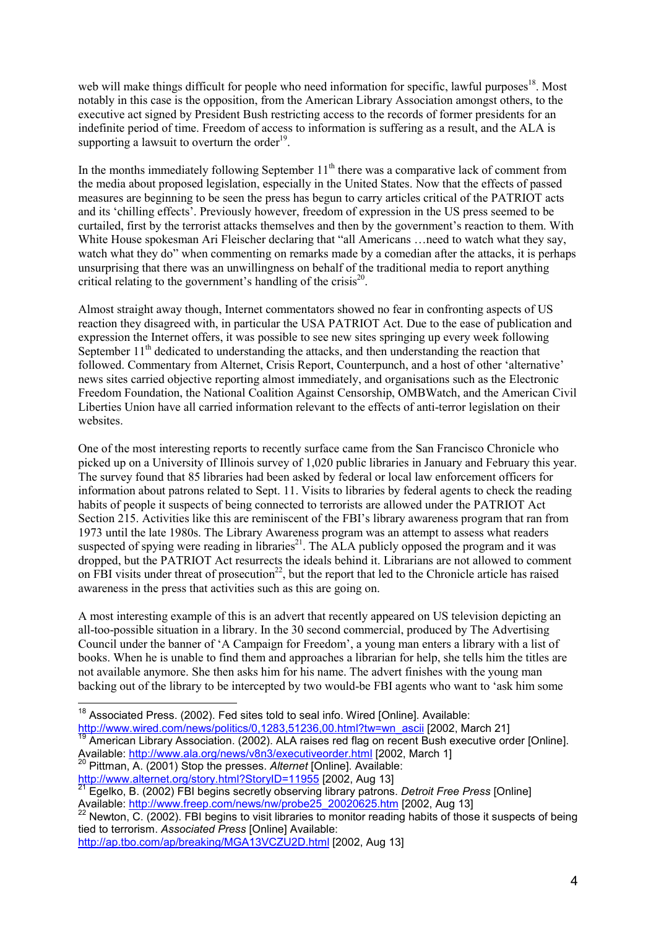web will make things difficult for people who need information for specific, lawful purposes<sup>18</sup>. Most notably in this case is the opposition, from the American Library Association amongst others, to the executive act signed by President Bush restricting access to the records of former presidents for an indefinite period of time. Freedom of access to information is suffering as a result, and the ALA is supporting a lawsuit to overturn the order<sup>19</sup>.

In the months immediately following September  $11<sup>th</sup>$  there was a comparative lack of comment from the media about proposed legislation, especially in the United States. Now that the effects of passed measures are beginning to be seen the press has begun to carry articles critical of the PATRIOT acts and its 'chilling effects'. Previously however, freedom of expression in the US press seemed to be curtailed, first by the terrorist attacks themselves and then by the government's reaction to them. With White House spokesman Ari Fleischer declaring that "all Americans ... need to watch what they say, watch what they do" when commenting on remarks made by a comedian after the attacks, it is perhaps unsurprising that there was an unwillingness on behalf of the traditional media to report anything critical relating to the government's handling of the crisis<sup>20</sup>.

Almost straight away though, Internet commentators showed no fear in confronting aspects of US reaction they disagreed with, in particular the USA PATRIOT Act. Due to the ease of publication and expression the Internet offers, it was possible to see new sites springing up every week following September  $11<sup>th</sup>$  dedicated to understanding the attacks, and then understanding the reaction that followed. Commentary from Alternet, Crisis Report, Counterpunch, and a host of other 'alternative' news sites carried objective reporting almost immediately, and organisations such as the Electronic Freedom Foundation, the National Coalition Against Censorship, OMBWatch, and the American Civil Liberties Union have all carried information relevant to the effects of anti-terror legislation on their websites.

One of the most interesting reports to recently surface came from the San Francisco Chronicle who picked up on a University of Illinois survey of 1,020 public libraries in January and February this year. The survey found that 85 libraries had been asked by federal or local law enforcement officers for information about patrons related to Sept. 11. Visits to libraries by federal agents to check the reading habits of people it suspects of being connected to terrorists are allowed under the PATRIOT Act Section 215. Activities like this are reminiscent of the FBI's library awareness program that ran from 1973 until the late 1980s. The Library Awareness program was an attempt to assess what readers suspected of spying were reading in libraries<sup>21</sup>. The ALA publicly opposed the program and it was dropped, but the PATRIOT Act resurrects the ideals behind it. Librarians are not allowed to comment on FBI visits under threat of prosecution<sup>22</sup>, but the report that led to the Chronicle article has raised awareness in the press that activities such as this are going on.

A most interesting example of this is an advert that recently appeared on US television depicting an all-too-possible situation in a library. In the 30 second commercial, produced by The Advertising Council under the banner of 'A Campaign for Freedom', a young man enters a library with a list of books. When he is unable to find them and approaches a librarian for help, she tells him the titles are not available anymore. She then asks him for his name. The advert finishes with the young man backing out of the library to be intercepted by two would-be FBI agents who want to 'ask him some

<span id="page-3-4"></span>tied to terrorism. *Associated Press* [Online] Available:

http://ap.tbo.com/ap/breaking/MGA13VCZU2D.html [2002, Aug 13]

 $\overline{a}$  $18$  Associated Press. (2002). Fed sites told to seal info. Wired [Online]. Available:

<span id="page-3-1"></span><span id="page-3-0"></span>http://www.wired.com/news/politics/0,1283,51236,00.html?tw=wn\_ascii [2002, March 21]<br><sup>19</sup> American Library Association. (2002). ALA raises red flag on recent Bush executive order [Online]. Available: http://www.ala.org/news/v8n3/executiveorder.html [2002, March 1]<br><sup>20</sup> Pittman, A. (2001) Stop the presses. *Alternet* [Online]. Available:<br>http://www.alternet.org/story.html?StoryID=11955 [2002, Aug 13]

<span id="page-3-2"></span>

<span id="page-3-3"></span><sup>&</sup>lt;sup>21</sup> Egelko, B. (2002) FBI begins secretly observing library patrons. *Detroit Free Press* [Online] Available: http://www.freep.com/news/nw/probe25\_20020625.htm [2002, Aug 13] 22 Newton, C. (2002). FBI begins to visit libraries to monitor reading habits of those it suspects of being